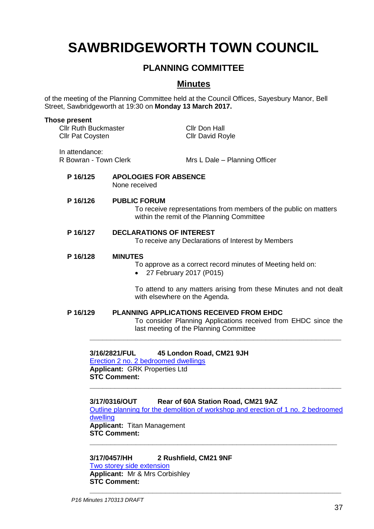# **SAWBRIDGEWORTH TOWN COUNCIL**

## **PLANNING COMMITTEE**

### **Minutes**

of the meeting of the Planning Committee held at the Council Offices, Sayesbury Manor, Bell Street, Sawbridgeworth at 19:30 on **Monday 13 March 2017.**

| Those present<br><b>Cllr Ruth Buckmaster</b><br><b>Cllr Pat Coysten</b>                                             |                                                                                                                                                                                    | Cllr Don Hall<br><b>Cllr David Royle</b>                                                                                                                    |
|---------------------------------------------------------------------------------------------------------------------|------------------------------------------------------------------------------------------------------------------------------------------------------------------------------------|-------------------------------------------------------------------------------------------------------------------------------------------------------------|
| In attendance:<br>R Bowran - Town Clerk                                                                             |                                                                                                                                                                                    | Mrs L Dale - Planning Officer                                                                                                                               |
| P 16/125                                                                                                            | <b>APOLOGIES FOR ABSENCE</b><br>None received                                                                                                                                      |                                                                                                                                                             |
| P 16/126                                                                                                            | <b>PUBLIC FORUM</b><br>To receive representations from members of the public on matters<br>within the remit of the Planning Committee                                              |                                                                                                                                                             |
| P 16/127                                                                                                            | <b>DECLARATIONS OF INTEREST</b><br>To receive any Declarations of Interest by Members                                                                                              |                                                                                                                                                             |
| P 16/128<br><b>MINUTES</b><br>To approve as a correct record minutes of Meeting held on:<br>27 February 2017 (P015) |                                                                                                                                                                                    |                                                                                                                                                             |
|                                                                                                                     | with elsewhere on the Agenda.                                                                                                                                                      | To attend to any matters arising from these Minutes and not dealt                                                                                           |
| P 16/129                                                                                                            |                                                                                                                                                                                    | <b>PLANNING APPLICATIONS RECEIVED FROM EHDC</b><br>To consider Planning Applications received from EHDC since the<br>last meeting of the Planning Committee |
| dwelling                                                                                                            | 3/16/2821/FUL<br><b>Erection 2 no. 2 bedroomed dwellings</b><br><b>Applicant: GRK Properties Ltd</b><br><b>STC Comment:</b><br>3/17/0316/OUT<br><b>Applicant: Titan Management</b> | 45 London Road, CM21 9JH<br>Rear of 60A Station Road, CM21 9AZ<br>Outline planning for the demolition of workshop and erection of 1 no. 2 bedroomed         |

**STC Comment: \_\_\_\_\_\_\_\_\_\_\_\_\_\_\_\_\_\_\_\_\_\_\_\_\_\_\_\_\_\_\_\_\_\_\_\_\_\_\_\_\_\_\_\_\_\_\_\_\_\_\_\_\_\_\_\_\_\_\_**

**3/17/0457/HH 2 Rushfield, CM21 9NF** [Two storey side extension](https://publicaccess.eastherts.gov.uk/online-applications/applicationDetails.do?activeTab=summary&keyVal=OLS9V3GLFPU00) **Applicant:** Mr & Mrs Corbishley **STC Comment:**

**\_\_\_\_\_\_\_\_\_\_\_\_\_\_\_\_\_\_\_\_\_\_\_\_\_\_\_\_\_\_\_\_\_\_\_\_\_\_\_\_\_\_\_\_\_\_\_\_\_\_\_\_\_\_\_\_\_\_\_\_**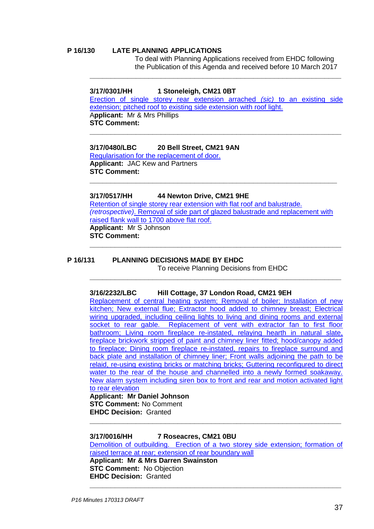#### **P 16/130 LATE PLANNING APPLICATIONS**

To deal with Planning Applications received from EHDC following the Publication of this Agenda and received before 10 March 2017

#### **3/17/0301/HH 1 Stoneleigh, CM21 0BT**

[Erection of single storey rear extension arrached](https://publicaccess.eastherts.gov.uk/online-applications/applicationDetails.do?activeTab=documents&keyVal=OIHR7ZGLMNN00) *(sic)* to an existing side [extension; pitched roof to existing side extension with roof light.](https://publicaccess.eastherts.gov.uk/online-applications/applicationDetails.do?activeTab=documents&keyVal=OIHR7ZGLMNN00) A**pplicant:** Mr & Mrs Phillips **STC Comment:**

**\_\_\_\_\_\_\_\_\_\_\_\_\_\_\_\_\_\_\_\_\_\_\_\_\_\_\_\_\_\_\_\_\_\_\_\_\_\_\_\_\_\_\_\_\_\_\_\_\_\_\_\_\_\_\_\_\_\_\_\_**

**\_\_\_\_\_\_\_\_\_\_\_\_\_\_\_\_\_\_\_\_\_\_\_\_\_\_\_\_\_\_\_\_\_\_\_\_\_\_\_\_\_\_\_\_\_\_\_\_\_\_\_\_\_\_\_\_\_\_\_\_**

**3/17/0480/LBC 20 Bell Street, CM21 9AN** [Regularisation for the replacement of door.](https://publicaccess.eastherts.gov.uk/online-applications/applicationDetails.do?activeTab=summary&keyVal=OL2DU8GL00X00) **Applicant:** JAC Kew and Partners **STC Comment: \_\_\_\_\_\_\_\_\_\_\_\_\_\_\_\_\_\_\_\_\_\_\_\_\_\_\_\_\_\_\_\_\_\_\_\_\_\_\_\_\_\_\_\_\_\_\_\_\_\_\_\_\_\_\_\_\_\_\_**

**3/17/0517/HH 44 Newton Drive, CM21 9HE** [Retention of single storey rear extension](https://publicaccess.eastherts.gov.uk/online-applications/applicationDetails.do?activeTab=summary&keyVal=OLS9V3GLFPU00) with flat roof and balustrade. *(retrospective)*. Removal [of side part of glazed balustrade and replacement](https://publicaccess.eastherts.gov.uk/online-applications/applicationDetails.do?activeTab=summary&keyVal=OLS9V3GLFPU00) with [raised flank wall to 1700 above](https://publicaccess.eastherts.gov.uk/online-applications/applicationDetails.do?activeTab=summary&keyVal=OLS9V3GLFPU00) flat roof. **Applicant:** Mr S Johnson **STC Comment:**

**\_\_\_\_\_\_\_\_\_\_\_\_\_\_\_\_\_\_\_\_\_\_\_\_\_\_\_\_\_\_\_\_\_\_\_\_\_\_\_\_\_\_\_\_\_\_\_\_\_\_\_\_\_\_\_\_\_\_\_\_**

**\_\_\_\_\_\_\_\_\_\_\_\_\_\_\_\_\_\_\_\_\_\_\_\_\_\_\_\_\_\_\_\_\_\_\_\_\_\_\_\_\_\_\_\_\_\_\_\_\_\_\_\_\_\_\_\_\_\_\_\_**

#### **P 16/131 PLANNING DECISIONS MADE BY EHDC**

To receive Planning Decisions from EHDC

#### **3/16/2232/LBC Hill Cottage, 37 London Road, CM21 9EH**

[Replacement of central heating system; Removal of boiler; Installation of new](https://publicaccess.eastherts.gov.uk/online-applications/applicationDetails.do?activeTab=summary&keyVal=OEBDBBGLLMN00)  [kitchen; New external flue; Extractor hood added to chimney breast; Electrical](https://publicaccess.eastherts.gov.uk/online-applications/applicationDetails.do?activeTab=summary&keyVal=OEBDBBGLLMN00)  [wiring upgraded, including ceiling lights to living and dining rooms and external](https://publicaccess.eastherts.gov.uk/online-applications/applicationDetails.do?activeTab=summary&keyVal=OEBDBBGLLMN00)  socket to rear gable. Replacement of vent with extractor fan to first floor [bathroom; Living room fireplace re-instated, relaying hearth in natural slate,](https://publicaccess.eastherts.gov.uk/online-applications/applicationDetails.do?activeTab=summary&keyVal=OEBDBBGLLMN00)  [fireplace brickwork stripped of paint and chimney liner fitted; hood/canopy added](https://publicaccess.eastherts.gov.uk/online-applications/applicationDetails.do?activeTab=summary&keyVal=OEBDBBGLLMN00)  [to fireplace; Dining room fireplace re-instated, repairs to fireplace surround and](https://publicaccess.eastherts.gov.uk/online-applications/applicationDetails.do?activeTab=summary&keyVal=OEBDBBGLLMN00)  [back plate and installation of chimney liner; Front walls adjoining the path](https://publicaccess.eastherts.gov.uk/online-applications/applicationDetails.do?activeTab=summary&keyVal=OEBDBBGLLMN00) to be [relaid, re-using existing bricks or matching bricks; Guttering reconfigured to direct](https://publicaccess.eastherts.gov.uk/online-applications/applicationDetails.do?activeTab=summary&keyVal=OEBDBBGLLMN00)  water to the rear of the house and channelled into a newly formed soakaway. [New alarm system including siren box to front and rear and motion activated light](https://publicaccess.eastherts.gov.uk/online-applications/applicationDetails.do?activeTab=summary&keyVal=OEBDBBGLLMN00)  [to rear elevation](https://publicaccess.eastherts.gov.uk/online-applications/applicationDetails.do?activeTab=summary&keyVal=OEBDBBGLLMN00)

**Applicant: Mr Daniel Johnson STC Comment:** No Comment **EHDC Decision:** Granted

**3/17/0016/HH 7 Roseacres, CM21 0BU** [Demolition of outbuilding. Erection of a two storey side extension; formation of](https://publicaccess.eastherts.gov.uk/online-applications/applicationDetails.do?activeTab=summary&keyVal=OJCXEEGLMS600)  [raised terrace at rear; extension of rear boundary wall](https://publicaccess.eastherts.gov.uk/online-applications/applicationDetails.do?activeTab=summary&keyVal=OJCXEEGLMS600) **Applicant: Mr & Mrs Darren Swainston STC Comment:** No Objection **EHDC Decision:** Granted

**\_\_\_\_\_\_\_\_\_\_\_\_\_\_\_\_\_\_\_\_\_\_\_\_\_\_\_\_\_\_\_\_\_\_\_\_\_\_\_\_\_\_\_\_\_\_\_\_\_\_\_\_\_\_\_\_\_\_\_\_**

**\_\_\_\_\_\_\_\_\_\_\_\_\_\_\_\_\_\_\_\_\_\_\_\_\_\_\_\_\_\_\_\_\_\_\_\_\_\_\_\_\_\_\_\_\_\_\_\_\_\_\_\_\_\_\_\_\_\_\_\_**